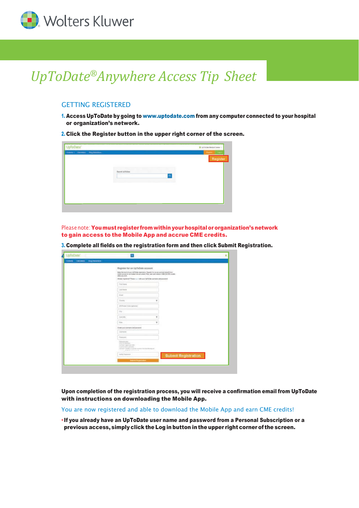

# *UpToDate®Anywhere Access Tip Sheet*

## GETTING REGISTERED

1. Access UpToDate by going to [www.uptodate.com](http://www.uptodate.com/) from any computer connected to your hospital or organization's network.

2. Click the Register button in the upper right corner of the screen.



Please note: You must register from within your hospital or organization's network to gain access to the Mobile App and accrue CME credits.

3. Complete all fields on the registration form and then click Submit Registration.

| UpToDate <sup>*</sup>                  |                                                                                                                                                                                                            | ٠ |
|----------------------------------------|------------------------------------------------------------------------------------------------------------------------------------------------------------------------------------------------------------|---|
| Consols Castillatory, Dog Installation |                                                                                                                                                                                                            |   |
|                                        | Register for an UpToDote account                                                                                                                                                                           |   |
|                                        | Make this must of your US/Color experience. Register for an account and benefit from<br>selecte unou estate.                                                                                               |   |
|                                        | Abiasiu negotianali? Piezza con redo unar Op7icOata cosmano and percented<br>2002년 1월 2010년 2010년 1월 20일 20일 20일 20일 20일 20일 20일 20일                                                                       |   |
|                                        | <b>Tird News</b>                                                                                                                                                                                           |   |
|                                        | List Frene                                                                                                                                                                                                 |   |
|                                        | <b>ESMA</b>                                                                                                                                                                                                |   |
|                                        | County<br>w                                                                                                                                                                                                |   |
|                                        | 20-Fordal Compositional                                                                                                                                                                                    |   |
|                                        | 336                                                                                                                                                                                                        |   |
|                                        | ٠<br>Institute/                                                                                                                                                                                            |   |
|                                        | <b>Rider</b><br>٠                                                                                                                                                                                          |   |
|                                        | Credit your sterlame and payment                                                                                                                                                                           |   |
|                                        | <b>Likeliser</b>                                                                                                                                                                                           |   |
|                                        | Patteriole                                                                                                                                                                                                 |   |
|                                        | <b>Televisioni</b><br><b>CON 31-MARINES</b><br>Add Breft Copperman creater<br>a t gretal wealth uniterated<br>140 Auch 7 bootball, all sold of this extends that the subset of the<br>THE PERKETTER CONTIN |   |
|                                        | tardy Patentee<br><b>Submit Registration</b>                                                                                                                                                               |   |
|                                        | <b>Bulletin Registration</b>                                                                                                                                                                               |   |
|                                        |                                                                                                                                                                                                            |   |

Upon completion of the registration process, you will receive a confirmation email from UpToDate with instructions on downloading the Mobile App.

You are now registered and able to download the Mobile App and earn CME credits!

• If you already have an UpToDate user name and password from a Personal Subscription or a previous access, simply click the Log in button in the upper right corner of the screen.